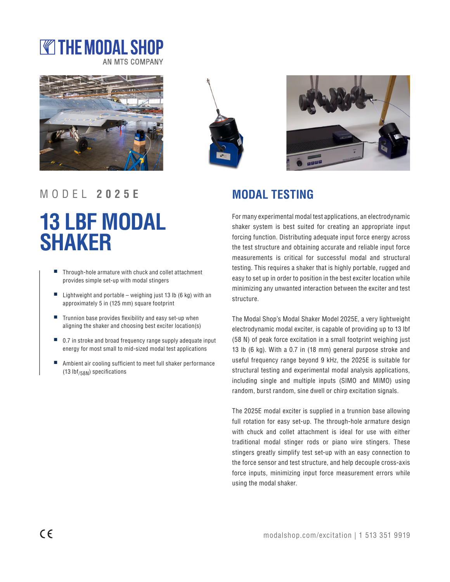# **WE THE MODAL SHOP AN MTS COMPANY**







For many experimental modal test applications, an electrodynamic shaker system is best suited for creating an appropriate input forcing function. Distributing adequate input force energy across the test structure and obtaining accurate and reliable input force measurements is critical for successful modal and structural testing. This requires a shaker that is highly portable, rugged and easy to set up in order to position in the best exciter location while minimizing any unwanted interaction between the exciter and test structure.

The Modal Shop's Modal Shaker Model 2025E, a very lightweight electrodynamic modal exciter, is capable of providing up to 13 lbf (58 N) of peak force excitation in a small footprint weighing just 13 lb (6 kg). With a 0.7 in (18 mm) general purpose stroke and useful frequency range beyond 9 kHz, the 2025E is suitable for structural testing and experimental modal analysis applications, including single and multiple inputs (SIMO and MIMO) using random, burst random, sine dwell or chirp excitation signals.

The 2025E modal exciter is supplied in a trunnion base allowing full rotation for easy set-up. The through-hole armature design with chuck and collet attachment is ideal for use with either traditional modal stinger rods or piano wire stingers. These stingers greatly simplify test set-up with an easy connection to the force sensor and test structure, and help decouple cross-axis force inputs, minimizing input force measurement errors while using the modal shaker.

### MODEL **2025E MODAL TESTING**

# **13 LBF MODAL SHAKER**

- Through-hole armature with chuck and collet attachment provides simple set-up with modal stingers
- Lightweight and portable weighing just 13 lb  $(6 \text{ kg})$  with an approximately 5 in (125 mm) square footprint
- Trunnion base provides flexibility and easy set-up when aligning the shaker and choosing best exciter location(s)
- 0.7 in stroke and broad frequency range supply adequate input energy for most small to mid-sized modal test applications
- Ambient air cooling sufficient to meet full shaker performance  $(13 lbf<sub>/58N</sub>)$  specifications